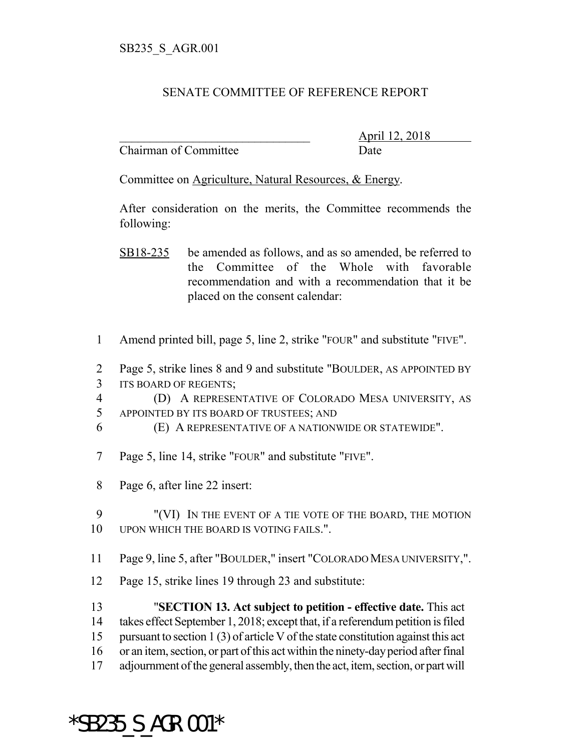## SENATE COMMITTEE OF REFERENCE REPORT

Chairman of Committee Date

\_\_\_\_\_\_\_\_\_\_\_\_\_\_\_\_\_\_\_\_\_\_\_\_\_\_\_\_\_\_\_ April 12, 2018

Committee on Agriculture, Natural Resources, & Energy.

After consideration on the merits, the Committee recommends the following:

- SB18-235 be amended as follows, and as so amended, be referred to the Committee of the Whole with favorable recommendation and with a recommendation that it be placed on the consent calendar:
- 1 Amend printed bill, page 5, line 2, strike "FOUR" and substitute "FIVE".

2 Page 5, strike lines 8 and 9 and substitute "BOULDER, AS APPOINTED BY 3 ITS BOARD OF REGENTS;

4 (D) A REPRESENTATIVE OF COLORADO MESA UNIVERSITY, AS 5 APPOINTED BY ITS BOARD OF TRUSTEES; AND

- 6 (E) A REPRESENTATIVE OF A NATIONWIDE OR STATEWIDE".
- 7 Page 5, line 14, strike "FOUR" and substitute "FIVE".
- 8 Page 6, after line 22 insert:
- 9 "(VI) IN THE EVENT OF A TIE VOTE OF THE BOARD, THE MOTION 10 UPON WHICH THE BOARD IS VOTING FAILS.".
- 11 Page 9, line 5, after "BOULDER," insert "COLORADO MESA UNIVERSITY,".
- 12 Page 15, strike lines 19 through 23 and substitute:
- 13 "**SECTION 13. Act subject to petition effective date.** This act 14 takes effect September 1, 2018; except that, if a referendum petition is filed 15 pursuant to section 1 (3) of article V of the state constitution against this act 16 or an item, section, or part of this act within the ninety-day period after final 17 adjournment of the general assembly, then the act, item, section, or part will

## \*SB235\_S\_AGR.001\*